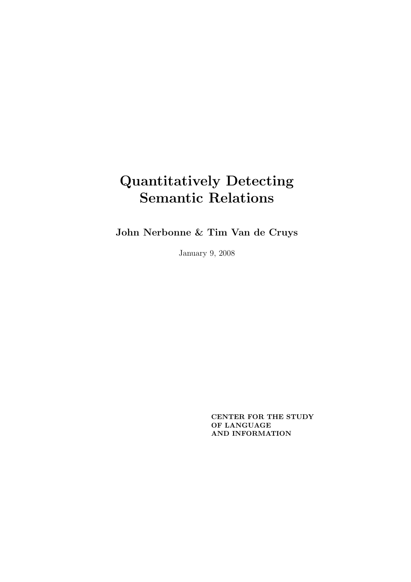John Nerbonne & Tim Van de Cruys

January 9, 2008

CENTER FOR THE STUDY OF LANGUAGE AND INFORMATION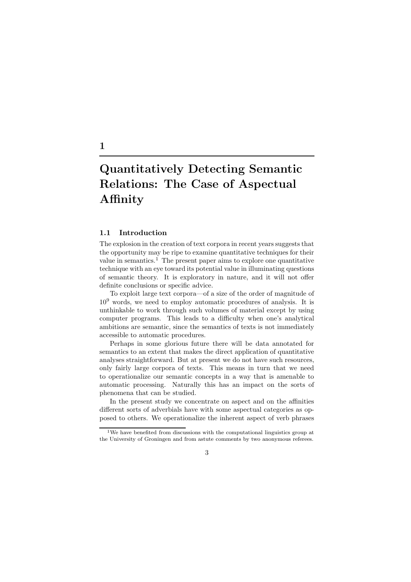## Quantitatively Detecting Semantic Relations: The Case of Aspectual Affinity

## 1.1 Introduction

The explosion in the creation of text corpora in recent years suggests that the opportunity may be ripe to examine quantitative techniques for their value in semantics.<sup>1</sup> The present paper aims to explore one quantitative technique with an eye toward its potential value in illuminating questions of semantic theory. It is exploratory in nature, and it will not offer definite conclusions or specific advice.

To exploit large text corpora—of a size of the order of magnitude of  $10<sup>9</sup>$  words, we need to employ automatic procedures of analysis. It is unthinkable to work through such volumes of material except by using computer programs. This leads to a difficulty when one's analytical ambitions are semantic, since the semantics of texts is not immediately accessible to automatic procedures.

Perhaps in some glorious future there will be data annotated for semantics to an extent that makes the direct application of quantitative analyses straightforward. But at present we do not have such resources, only fairly large corpora of texts. This means in turn that we need to operationalize our semantic concepts in a way that is amenable to automatic processing. Naturally this has an impact on the sorts of phenomena that can be studied.

In the present study we concentrate on aspect and on the affinities different sorts of adverbials have with some aspectual categories as opposed to others. We operationalize the inherent aspect of verb phrases

3

## 1

<sup>1</sup>We have benefited from discussions with the computational linguistics group at the University of Groningen and from astute comments by two anonymous referees.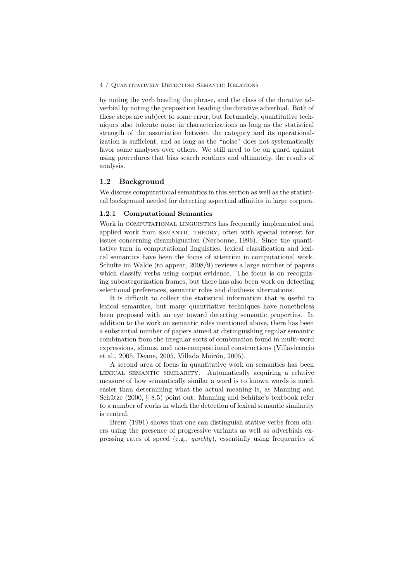by noting the verb heading the phrase, and the class of the durative adverbial by noting the preposition heading the durative adverbial. Both of these steps are subject to some error, but fortunately, quantitative techniques also tolerate noise in characterizations as long as the statistical strength of the association between the category and its operationalization is sufficient, and as long as the "noise" does not systematically favor some analyses over others. We still need to be on guard against using procedures that bias search routines and ultimately, the results of analysis.

## 1.2 Background

We discuss computational semantics in this section as well as the statistical background needed for detecting aspectual affinities in large corpora.

#### 1.2.1 Computational Semantics

Work in COMPUTATIONAL LINGUISTICS has frequently implemented and applied work from semantic theory, often with special interest for issues concerning disambiguation (Nerbonne, 1996). Since the quantitative turn in computational linguistics, lexical classification and lexical semantics have been the focus of attention in computational work. Schulte im Walde (to appear, 2008/9) reviews a large number of papers which classify verbs using corpus evidence. The focus is on recognizing subcategorization frames, but there has also been work on detecting selectional preferences, semantic roles and diathesis alternations.

It is difficult to collect the statistical information that is useful to lexical semantics, but many quantitative techniques have nonetheless been proposed with an eye toward detecting semantic properties. In addition to the work on semantic roles mentioned above, there has been a substantial number of papers aimed at distinguishing regular semantic combination from the irregular sorts of combination found in multi-word expressions, idioms, and non-compositional constructions (Villavicencio et al., 2005, Deane, 2005, Villada Moirón, 2005).

A second area of focus in quantitative work on semantics has been lexical semantic similarity. Automatically acquiring a relative measure of how semantically similar a word is to known words is much easier than determining what the actual meaning is, as Manning and Schütze  $(2000, \, \S \, 8.5)$  point out. Manning and Schütze's textbook refer to a number of works in which the detection of lexical semantic similarity is central.

Brent (1991) shows that one can distinguish stative verbs from others using the presence of progressive variants as well as adverbials expressing rates of speed (e.g., quickly), essentially using frequencies of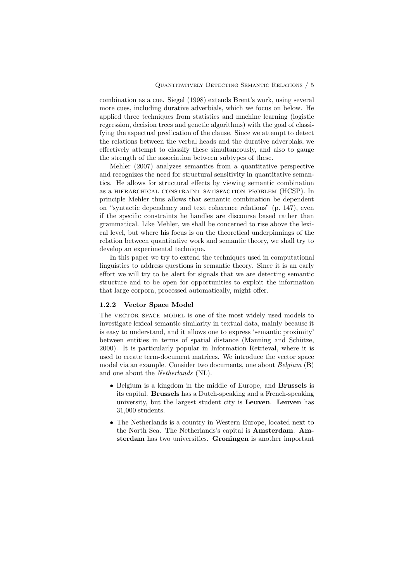combination as a cue. Siegel (1998) extends Brent's work, using several more cues, including durative adverbials, which we focus on below. He applied three techniques from statistics and machine learning (logistic regression, decision trees and genetic algorithms) with the goal of classifying the aspectual predication of the clause. Since we attempt to detect the relations between the verbal heads and the durative adverbials, we effectively attempt to classify these simultaneously, and also to gauge the strength of the association between subtypes of these.

Mehler (2007) analyzes semantics from a quantitative perspective and recognizes the need for structural sensitivity in quantitative semantics. He allows for structural effects by viewing semantic combination as a hierarchical constraint satisfaction problem (HCSP). In principle Mehler thus allows that semantic combination be dependent on "syntactic dependency and text coherence relations" (p. 147), even if the specific constraints he handles are discourse based rather than grammatical. Like Mehler, we shall be concerned to rise above the lexical level, but where his focus is on the theoretical underpinnings of the relation between quantitative work and semantic theory, we shall try to develop an experimental technique.

In this paper we try to extend the techniques used in computational linguistics to address questions in semantic theory. Since it is an early effort we will try to be alert for signals that we are detecting semantic structure and to be open for opportunities to exploit the information that large corpora, processed automatically, might offer.

#### 1.2.2 Vector Space Model

The VECTOR SPACE MODEL is one of the most widely used models to investigate lexical semantic similarity in textual data, mainly because it is easy to understand, and it allows one to express 'semantic proximity' between entities in terms of spatial distance (Manning and Schütze, 2000). It is particularly popular in Information Retrieval, where it is used to create term-document matrices. We introduce the vector space model via an example. Consider two documents, one about Belgium (B) and one about the Netherlands (NL).

- Belgium is a kingdom in the middle of Europe, and Brussels is its capital. Brussels has a Dutch-speaking and a French-speaking university, but the largest student city is Leuven. Leuven has 31,000 students.
- The Netherlands is a country in Western Europe, located next to the North Sea. The Netherlands's capital is Amsterdam. Amsterdam has two universities. Groningen is another important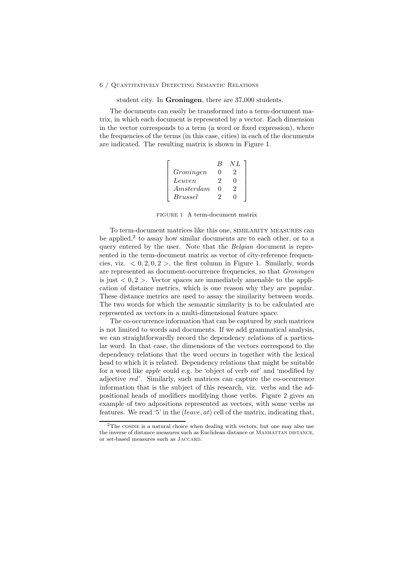student city. In Groningen, there are 37,000 students.

The documents can easily be transformed into a term-document matrix, in which each document is represented by a vector. Each dimension in the vector corresponds to a term (a word or fixed expression), where the frequencies of the terms (in this case, cities) in each of the documents are indicated. The resulting matrix is shown in Figure 1.

|                | $\mathcal{R}$ | N L |
|----------------|---------------|-----|
| Groningen      | 0             | .,  |
| Leuven         | ٠,            | 0   |
| Amsterdam      | $\Omega$      | 9   |
| <i>Brussel</i> |               |     |

FIGURE 1 A term-document matrix

To term-document matrices like this one, similarity measures can be applied,<sup>2</sup> to assay how similar documents are to each other, or to a query entered by the user. Note that the Belgian document is represented in the term-document matrix as vector of city-reference frequencies, viz.  $\langle 0, 2, 0, 2 \rangle$ , the first column in Figure 1. Similarly, words are represented as document-occurrence frequencies, so that Groningen is just  $\langle 0, 2 \rangle$ . Vector spaces are immediately amenable to the application of distance metrics, which is one reason why they are popular. These distance metrics are used to assay the similarity between words. The two words for which the semantic similarity is to be calculated are represented as vectors in a multi-dimensional feature space.

The co-occurrence information that can be captured by such matrices is not limited to words and documents. If we add grammatical analysis, we can straightforwardly record the dependency relations of a particular word. In that case, the dimensions of the vectors correspond to the dependency relations that the word occurs in together with the lexical head to which it is related. Dependency relations that might be suitable for a word like apple could e.g. be 'object of verb eat' and 'modified by adjective red'. Similarly, such matrices can capture the co-occurrence information that is the subject of this research, viz. verbs and the adpositional heads of modifiers modifying those verbs. Figure 2 gives an example of two adpositions represented as vectors, with some verbs as features. We read '5' in the  $(leave, at)$  cell of the matrix, indicating that,

 $2$ The COSINE is a natural choice when dealing with vectors, but one may also use the inverse of distance measures such as Euclidean distance or MANHATTAN DISTANCE, or set-based measures such as Jaccard.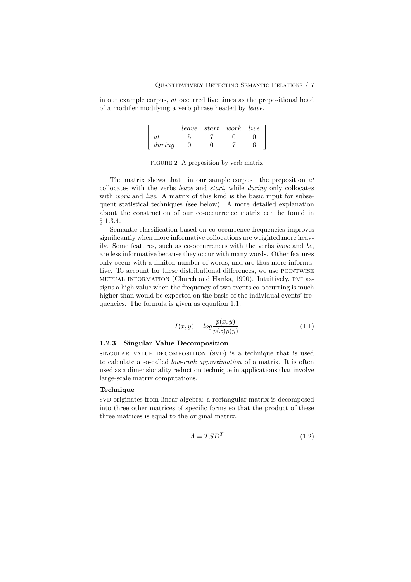in our example corpus, at occurred five times as the prepositional head of a modifier modifying a verb phrase headed by leave.

|           |  | $leave$ start work live $\lceil$ |
|-----------|--|----------------------------------|
| $\it{at}$ |  |                                  |
| during    |  |                                  |

FIGURE 2 A preposition by verb matrix

The matrix shows that—in our sample corpus—the preposition  $at$ collocates with the verbs leave and start, while during only collocates with *work* and *live.* A matrix of this kind is the basic input for subsequent statistical techniques (see below). A more detailed explanation about the construction of our co-occurrence matrix can be found in § 1.3.4.

Semantic classification based on co-occurrence frequencies improves significantly when more informative collocations are weighted more heavily. Some features, such as co-occurrences with the verbs have and be, are less informative because they occur with many words. Other features only occur with a limited number of words, and are thus more informative. To account for these distributional differences, we use POINTWISE mutual information (Church and Hanks, 1990). Intuitively, pmi assigns a high value when the frequency of two events co-occurring is much higher than would be expected on the basis of the individual events' frequencies. The formula is given as equation 1.1.

$$
I(x,y) = \log \frac{p(x,y)}{p(x)p(y)}\tag{1.1}
$$

## 1.2.3 Singular Value Decomposition

singular value decomposition (svd) is a technique that is used to calculate a so-called low-rank approximation of a matrix. It is often used as a dimensionality reduction technique in applications that involve large-scale matrix computations.

## Technique

svD originates from linear algebra: a rectangular matrix is decomposed into three other matrices of specific forms so that the product of these three matrices is equal to the original matrix.

$$
A = TSD^T \tag{1.2}
$$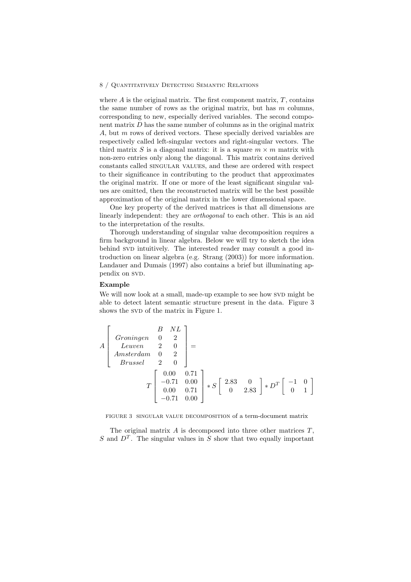where  $A$  is the original matrix. The first component matrix,  $T$ , contains the same number of rows as the original matrix, but has  $m$  columns, corresponding to new, especially derived variables. The second component matrix D has the same number of columns as in the original matrix A, but m rows of derived vectors. These specially derived variables are respectively called left-singular vectors and right-singular vectors. The third matrix S is a diagonal matrix: it is a square  $m \times m$  matrix with non-zero entries only along the diagonal. This matrix contains derived constants called singular values, and these are ordered with respect to their significance in contributing to the product that approximates the original matrix. If one or more of the least significant singular values are omitted, then the reconstructed matrix will be the best possible approximation of the original matrix in the lower dimensional space.

One key property of the derived matrices is that all dimensions are linearly independent: they are orthogonal to each other. This is an aid to the interpretation of the results.

Thorough understanding of singular value decomposition requires a firm background in linear algebra. Below we will try to sketch the idea behind SVD intuitively. The interested reader may consult a good introduction on linear algebra (e.g. Strang (2003)) for more information. Landauer and Dumais (1997) also contains a brief but illuminating appendix on SVD.

#### Example

We will now look at a small, made-up example to see how SVD might be able to detect latent semantic structure present in the data. Figure 3 shows the SVD of the matrix in Figure 1.

$$
A\begin{bmatrix} B & NL \\ Leuven & 0 & 2 \\ Leuven & 2 & 0 \\ Amsterdam & 0 & 2 \\ Brussel & 2 & 0 \end{bmatrix} =
$$
  

$$
T\begin{bmatrix} 0.00 & 0.71 \\ -0.71 & 0.00 \\ 0.00 & 0.71 \\ -0.71 & 0.00 \end{bmatrix} * S\begin{bmatrix} 2.83 & 0 \\ 0 & 2.83 \end{bmatrix} * D^T\begin{bmatrix} -1 & 0 \\ 0 & 1 \end{bmatrix}
$$

FIGURE 3 singular value decomposition of a term-document matrix

The original matrix  $A$  is decomposed into three other matrices  $T$ , S and  $D<sup>T</sup>$ . The singular values in S show that two equally important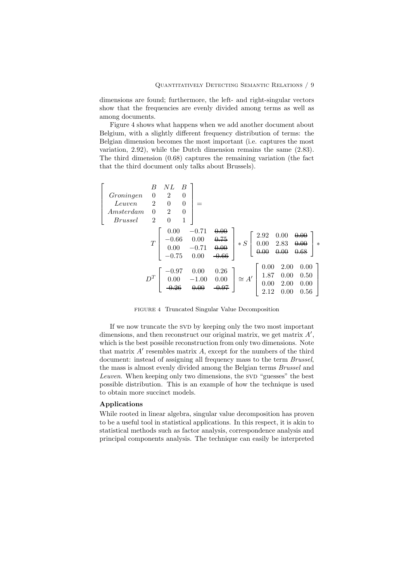dimensions are found; furthermore, the left- and right-singular vectors show that the frequencies are evenly divided among terms as well as among documents.

Figure 4 shows what happens when we add another document about Belgium, with a slightly different frequency distribution of terms: the Belgian dimension becomes the most important (i.e. captures the most variation, 2.92), while the Dutch dimension remains the same (2.83). The third dimension (0.68) captures the remaining variation (the fact that the third document only talks about Brussels).

| Groningen<br>Leuven<br>Amsterdam<br><i>Brussel</i> | B<br>$\boldsymbol{0}$<br>$\overline{2}$<br>$\overline{0}$<br>$\overline{2}$ | NΕ<br>2<br>$\theta$<br>$\overline{2}$<br>$\boldsymbol{0}$ | B<br>$\theta$<br>$\overline{0}$<br>$\theta$<br>1 |                                    |                                 |            |                              |                              |                              |        |
|----------------------------------------------------|-----------------------------------------------------------------------------|-----------------------------------------------------------|--------------------------------------------------|------------------------------------|---------------------------------|------------|------------------------------|------------------------------|------------------------------|--------|
|                                                    | T                                                                           | 0.00<br>$-0.66$<br>0.00<br>$-0.75$                        |                                                  | $-0.71$<br>0.00<br>$-0.71$<br>0.00 | 0.00<br>0.75<br>0.00<br>$-0.66$ | $\ast$ $S$ | 2.92<br>0.00                 | 0.00<br>2.83                 | 0.00<br>0.00<br>0.68         | $\ast$ |
|                                                    | $D^{T}$                                                                     | $-0.97$<br>0.00<br>റ റ $\epsilon$                         |                                                  | 0.00<br>$-1.00$<br>0.00            | 0.26<br>0.00<br>$-0.97$         | $\cong$ A' | 0.00<br>1.87<br>0.00<br>2.12 | 2.00<br>0.00<br>2.00<br>0.00 | 0.00<br>0.50<br>0.00<br>0.56 |        |

FIGURE 4 Truncated Singular Value Decomposition

If we now truncate the SVD by keeping only the two most important dimensions, and then reconstruct our original matrix, we get matrix  $A'$ , which is the best possible reconstruction from only two dimensions. Note that matrix  $A'$  resembles matrix  $A$ , except for the numbers of the third document: instead of assigning all frequency mass to the term *Brussel*, the mass is almost evenly divided among the Belgian terms Brussel and Leuven. When keeping only two dimensions, the SVD "guesses" the best possible distribution. This is an example of how the technique is used to obtain more succinct models.

## Applications

While rooted in linear algebra, singular value decomposition has proven to be a useful tool in statistical applications. In this respect, it is akin to statistical methods such as factor analysis, correspondence analysis and principal components analysis. The technique can easily be interpreted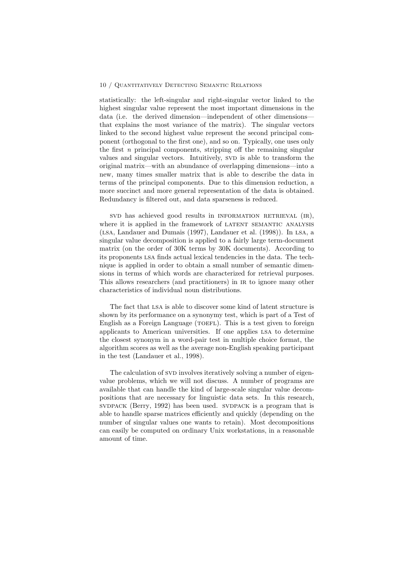statistically: the left-singular and right-singular vector linked to the highest singular value represent the most important dimensions in the data (i.e. the derived dimension—independent of other dimensions that explains the most variance of the matrix). The singular vectors linked to the second highest value represent the second principal component (orthogonal to the first one), and so on. Typically, one uses only the first  $n$  principal components, stripping off the remaining singular values and singular vectors. Intuitively, SVD is able to transform the original matrix—with an abundance of overlapping dimensions—into a new, many times smaller matrix that is able to describe the data in terms of the principal components. Due to this dimension reduction, a more succinct and more general representation of the data is obtained. Redundancy is filtered out, and data sparseness is reduced.

svD has achieved good results in INFORMATION RETRIEVAL (IR), where it is applied in the framework of LATENT SEMANTIC ANALYSIS (lsa, Landauer and Dumais (1997), Landauer et al. (1998)). In lsa, a singular value decomposition is applied to a fairly large term-document matrix (on the order of 30K terms by 30K documents). According to its proponents lsa finds actual lexical tendencies in the data. The technique is applied in order to obtain a small number of semantic dimensions in terms of which words are characterized for retrieval purposes. This allows researchers (and practitioners) in ir to ignore many other characteristics of individual noun distributions.

The fact that lsa is able to discover some kind of latent structure is shown by its performance on a synonymy test, which is part of a Test of English as a Foreign Language (TOEFL). This is a test given to foreign applicants to American universities. If one applies lsa to determine the closest synonym in a word-pair test in multiple choice format, the algorithm scores as well as the average non-English speaking participant in the test (Landauer et al., 1998).

The calculation of SVD involves iteratively solving a number of eigenvalue problems, which we will not discuss. A number of programs are available that can handle the kind of large-scale singular value decompositions that are necessary for linguistic data sets. In this research, svDPACK (Berry, 1992) has been used. SVDPACK is a program that is able to handle sparse matrices efficiently and quickly (depending on the number of singular values one wants to retain). Most decompositions can easily be computed on ordinary Unix workstations, in a reasonable amount of time.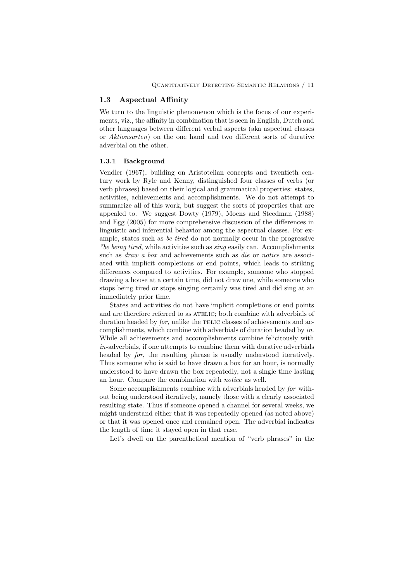## 1.3 Aspectual Affinity

We turn to the linguistic phenomenon which is the focus of our experiments, viz., the affinity in combination that is seen in English, Dutch and other languages between different verbal aspects (aka aspectual classes or Aktionsarten) on the one hand and two different sorts of durative adverbial on the other.

#### 1.3.1 Background

Vendler (1967), building on Aristotelian concepts and twentieth century work by Ryle and Kenny, distinguished four classes of verbs (or verb phrases) based on their logical and grammatical properties: states, activities, achievements and accomplishments. We do not attempt to summarize all of this work, but suggest the sorts of properties that are appealed to. We suggest Dowty (1979), Moens and Steedman (1988) and Egg (2005) for more comprehensive discussion of the differences in linguistic and inferential behavior among the aspectual classes. For example, states such as be tired do not normally occur in the progressive \*be being tired, while activities such as  $\sin q$  easily can. Accomplishments such as *draw a box* and achievements such as *die* or *notice* are associ-ated with implicit completions or end points, which leads to striking differences compared to activities. For example, someone who stopped drawing a house at a certain time, did not draw one, while someone who stops being tired or stops singing certainly was tired and did sing at an immediately prior time.

States and activities do not have implicit completions or end points and are therefore referred to as ATELIC; both combine with adverbials of duration headed by  $for$ , unlike the TELIC classes of achievements and accomplishments, which combine with adverbials of duration headed by in. While all achievements and accomplishments combine felicitously with in-adverbials, if one attempts to combine them with durative adverbials headed by for, the resulting phrase is usually understood iteratively. Thus someone who is said to have drawn a box for an hour, is normally understood to have drawn the box repeatedly, not a single time lasting an hour. Compare the combination with notice as well.

Some accomplishments combine with adverbials headed by for without being understood iteratively, namely those with a clearly associated resulting state. Thus if someone opened a channel for several weeks, we might understand either that it was repeatedly opened (as noted above) or that it was opened once and remained open. The adverbial indicates the length of time it stayed open in that case.

Let's dwell on the parenthetical mention of "verb phrases" in the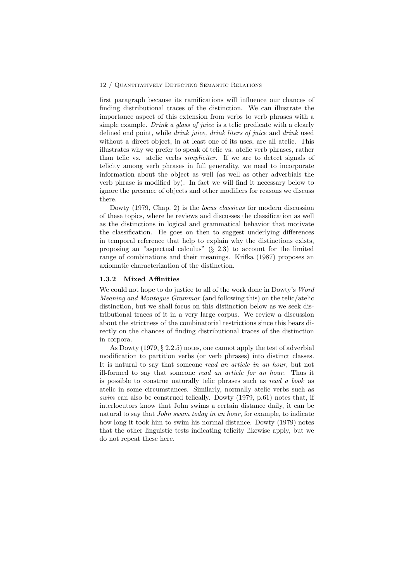first paragraph because its ramifications will influence our chances of finding distributional traces of the distinction. We can illustrate the importance aspect of this extension from verbs to verb phrases with a simple example. Drink a glass of juice is a telic predicate with a clearly defined end point, while drink juice, drink liters of juice and drink used without a direct object, in at least one of its uses, are all atelic. This illustrates why we prefer to speak of telic vs. atelic verb phrases, rather than telic vs. atelic verbs simpliciter. If we are to detect signals of telicity among verb phrases in full generality, we need to incorporate information about the object as well (as well as other adverbials the verb phrase is modified by). In fact we will find it necessary below to ignore the presence of objects and other modifiers for reasons we discuss there.

Dowty (1979, Chap. 2) is the locus classicus for modern discussion of these topics, where he reviews and discusses the classification as well as the distinctions in logical and grammatical behavior that motivate the classification. He goes on then to suggest underlying differences in temporal reference that help to explain why the distinctions exists, proposing an "aspectual calculus"  $(\S$  2.3) to account for the limited range of combinations and their meanings. Krifka (1987) proposes an axiomatic characterization of the distinction.

### 1.3.2 Mixed Affinities

We could not hope to do justice to all of the work done in Dowty's Word Meaning and Montague Grammar (and following this) on the telic/atelic distinction, but we shall focus on this distinction below as we seek distributional traces of it in a very large corpus. We review a discussion about the strictness of the combinatorial restrictions since this bears directly on the chances of finding distributional traces of the distinction in corpora.

As Dowty (1979, § 2.2.5) notes, one cannot apply the test of adverbial modification to partition verbs (or verb phrases) into distinct classes. It is natural to say that someone read an article in an hour, but not ill-formed to say that someone read an article for an hour. Thus it is possible to construe naturally telic phrases such as read a book as atelic in some circumstances. Similarly, normally atelic verbs such as swim can also be construed telically. Dowty (1979, p.61) notes that, if interlocutors know that John swims a certain distance daily, it can be natural to say that John swam today in an hour, for example, to indicate how long it took him to swim his normal distance. Dowty (1979) notes that the other linguistic tests indicating telicity likewise apply, but we do not repeat these here.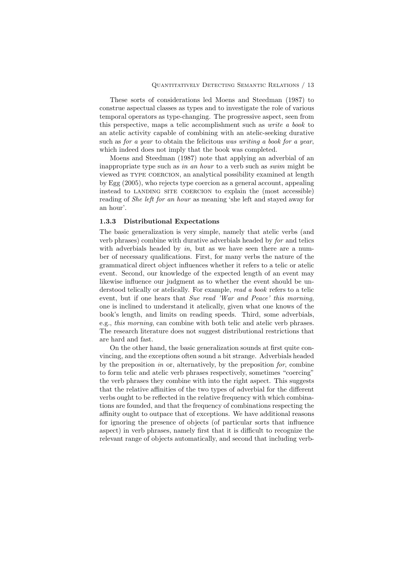These sorts of considerations led Moens and Steedman (1987) to construe aspectual classes as types and to investigate the role of various temporal operators as type-changing. The progressive aspect, seen from this perspective, maps a telic accomplishment such as write a book to an atelic activity capable of combining with an atelic-seeking durative such as for a year to obtain the felicitous was writing a book for a year, which indeed does not imply that the book was completed.

Moens and Steedman (1987) note that applying an adverbial of an inappropriate type such as in an hour to a verb such as swim might be viewed as type coercion, an analytical possibility examined at length by Egg (2005), who rejects type coercion as a general account, appealing instead to landing site coercion to explain the (most accessible) reading of She left for an hour as meaning 'she left and stayed away for an hour'.

#### 1.3.3 Distributional Expectations

The basic generalization is very simple, namely that atelic verbs (and verb phrases) combine with durative adverbials headed by for and telics with adverbials headed by  $in$ , but as we have seen there are a number of necessary qualifications. First, for many verbs the nature of the grammatical direct object influences whether it refers to a telic or atelic event. Second, our knowledge of the expected length of an event may likewise influence our judgment as to whether the event should be understood telically or atelically. For example, read a book refers to a telic event, but if one hears that Sue read 'War and Peace' this morning, one is inclined to understand it atelically, given what one knows of the book's length, and limits on reading speeds. Third, some adverbials, e.g., this morning, can combine with both telic and atelic verb phrases. The research literature does not suggest distributional restrictions that are hard and fast.

On the other hand, the basic generalization sounds at first quite convincing, and the exceptions often sound a bit strange. Adverbials headed by the preposition in or, alternatively, by the preposition for, combine to form telic and atelic verb phrases respectively, sometimes "coercing" the verb phrases they combine with into the right aspect. This suggests that the relative affinities of the two types of adverbial for the different verbs ought to be reflected in the relative frequency with which combinations are founded, and that the frequency of combinations respecting the affinity ought to outpace that of exceptions. We have additional reasons for ignoring the presence of objects (of particular sorts that influence aspect) in verb phrases, namely first that it is difficult to recognize the relevant range of objects automatically, and second that including verb-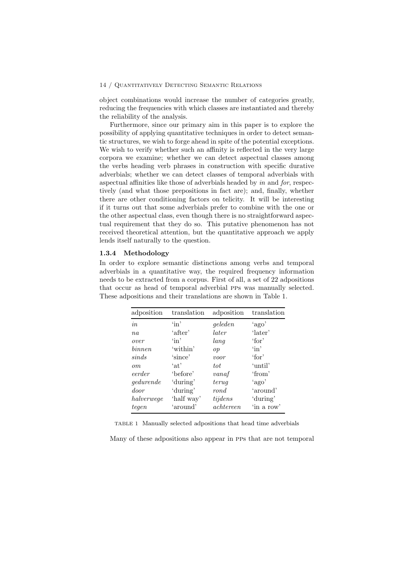object combinations would increase the number of categories greatly, reducing the frequencies with which classes are instantiated and thereby the reliability of the analysis.

Furthermore, since our primary aim in this paper is to explore the possibility of applying quantitative techniques in order to detect semantic structures, we wish to forge ahead in spite of the potential exceptions. We wish to verify whether such an affinity is reflected in the very large corpora we examine; whether we can detect aspectual classes among the verbs heading verb phrases in construction with specific durative adverbials; whether we can detect classes of temporal adverbials with aspectual affinities like those of adverbials headed by in and for, respectively (and what those prepositions in fact are); and, finally, whether there are other conditioning factors on telicity. It will be interesting if it turns out that some adverbials prefer to combine with the one or the other aspectual class, even though there is no straightforward aspectual requirement that they do so. This putative phenomenon has not received theoretical attention, but the quantitative approach we apply lends itself naturally to the question.

#### 1.3.4 Methodology

In order to explore semantic distinctions among verbs and temporal adverbials in a quantitative way, the required frequency information needs to be extracted from a corpus. First of all, a set of 22 adpositions that occur as head of temporal adverbial pps was manually selected. These adpositions and their translations are shown in Table 1.

| adposition | translation    | adposition | translation     |
|------------|----------------|------------|-----------------|
| in         | $\binom{1}{1}$ | geleden    | 'ago'           |
| $n_a$      | 'after'        | later      | 'later'         |
| over       | $\binom{1}{1}$ | lang       | $'$ for'        |
| binnen     | 'within'       | op         | $\sin$          |
| sinds      | 'since'        | voor       | $\lq$ for $\lq$ |
| $\, cm$    | $\int$ at'     | tot        | 'until'         |
| eerder     | 'before'       | vanaf      | 'from'          |
| gedurende  | 'during'       | terug      | 'ago'           |
| door       | 'during'       | rond       | 'around'        |
| halverwege | 'half way'     | tijdens    | 'during'        |
| teqen      | 'around'       | achtereen  | 'in a row'      |

TABLE 1 Manually selected adpositions that head time adverbials

Many of these adpositions also appear in pps that are not temporal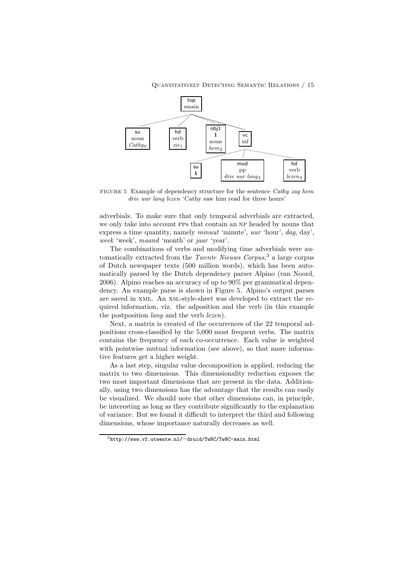

FIGURE 5 Example of dependency structure for the sentence Cathy zag hem drie uur lang lezen 'Cathy saw him read for three hours'

adverbials. To make sure that only temporal adverbials are extracted, we only take into account PPs that contain an NP headed by nouns that express a time quantity, namely minuut 'minute', uur 'hour', dag, day', week 'week', maand 'month' or jaar 'year'.

The combinations of verbs and modifying time adverbials were automatically extracted from the *Twente Nieuws Corpus*,<sup>3</sup> a large corpus of Dutch newspaper texts (500 million words), which has been automatically parsed by the Dutch dependency parser Alpino (van Noord, 2006). Alpino reaches an accuracy of up to 90% per grammatical dependency. An example parse is shown in Figure 5. Alpino's output parses are saved in xml. An xsl-style-sheet was developed to extract the required information, viz. the adposition and the verb (in this example the postposition lang and the verb lezen).

Next, a matrix is created of the occurrences of the 22 temporal adpositions cross-classified by the 5,000 most frequent verbs. The matrix contains the frequency of each co-occurrence. Each value is weighted with pointwise mutual information (see above), so that more informative features get a higher weight.

As a last step, singular value decomposition is applied, reducing the matrix to two dimensions. This dimensionality reduction exposes the two most important dimensions that are present in the data. Additionally, using two dimensions has the advantage that the results can easily be visualized. We should note that other dimensions can, in principle, be interesting as long as they contribute significantly to the explanation of variance. But we found it difficult to interpret the third and following dimensions, whose importance naturally decreases as well.

 $3$ http://www.vf.utwente.nl/∼druid/TwNC/TwNC-main.html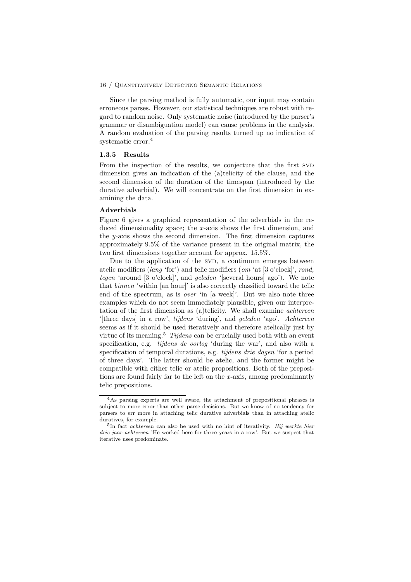Since the parsing method is fully automatic, our input may contain erroneous parses. However, our statistical techniques are robust with regard to random noise. Only systematic noise (introduced by the parser's grammar or disambiguation model) can cause problems in the analysis. A random evaluation of the parsing results turned up no indication of systematic error.<sup>4</sup>

#### 1.3.5 Results

From the inspection of the results, we conjecture that the first SVD dimension gives an indication of the (a)telicity of the clause, and the second dimension of the duration of the timespan (introduced by the durative adverbial). We will concentrate on the first dimension in examining the data.

#### Adverbials

Figure 6 gives a graphical representation of the adverbials in the reduced dimensionality space; the x-axis shows the first dimension, and the y-axis shows the second dimension. The first dimension captures approximately 9.5% of the variance present in the original matrix, the two first dimensions together account for approx. 15.5%.

Due to the application of the SVD, a continuum emerges between atelic modifiers (lang 'for') and telic modifiers (om 'at [3 o'clock]', rond, tegen 'around [3 o'clock]', and geleden '[several hours] ago'). We note that binnen 'within [an hour]' is also correctly classified toward the telic end of the spectrum, as is over 'in [a week]'. But we also note three examples which do not seem immediately plausible, given our interpretation of the first dimension as (a)telicity. We shall examine achtereen '[three days] in a row', tijdens 'during', and geleden 'ago'. Achtereen seems as if it should be used iteratively and therefore atelically just by virtue of its meaning.<sup>5</sup> Tijdens can be crucially used both with an event specification, e.g. tijdens de oorlog 'during the war', and also with a specification of temporal durations, e.g. tijdens drie dagen 'for a period of three days'. The latter should be atelic, and the former might be compatible with either telic or atelic propositions. Both of the prepositions are found fairly far to the left on the x-axis, among predominantly telic prepositions.

<sup>&</sup>lt;sup>4</sup>As parsing experts are well aware, the attachment of prepositional phrases is subject to more error than other parse decisions. But we know of no tendency for parsers to err more in attaching telic durative adverbials than in attaching atelic duratives, for example.

<sup>&</sup>lt;sup>5</sup>In fact *achtereen* can also be used with no hint of iterativity. Hij werkte hier drie jaar achtereen 'He worked here for three years in a row'. But we suspect that iterative uses predominate.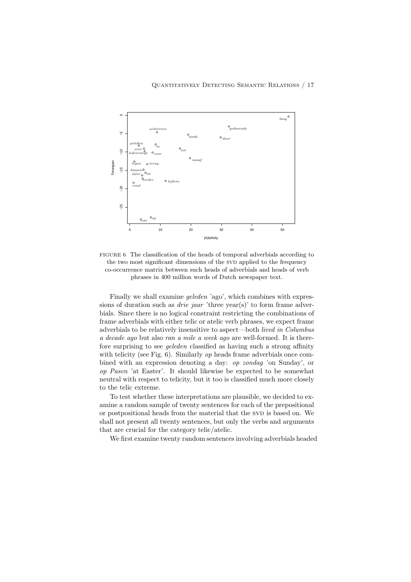

FIGURE 6 The classification of the heads of temporal adverbials according to the two most significant dimensions of the SVD applied to the frequency co-occurrence matrix between such heads of adverbials and heads of verb phrases in 400 million words of Dutch newspaper text.

Finally we shall examine geleden 'ago', which combines with expressions of duration such as *drie jaar* 'three year(s)' to form frame adverbials. Since there is no logical constraint restricting the combinations of frame adverbials with either telic or atelic verb phrases, we expect frame adverbials to be relatively insensitive to aspect—both lived in Columbus a decade ago but also ran a mile a week ago are well-formed. It is therefore surprising to see geleden classified as having such a strong affinity with telicity (see Fig. 6). Similarly *op* heads frame adverbials once combined with an expression denoting a day: op zondag 'on Sunday', or op Pasen 'at Easter'. It should likewise be expected to be somewhat neutral with respect to telicity, but it too is classified much more closely to the telic extreme.

To test whether these interpretations are plausible, we decided to examine a random sample of twenty sentences for each of the prepositional or postpositional heads from the material that the SVD is based on. We shall not present all twenty sentences, but only the verbs and arguments that are crucial for the category telic/atelic.

We first examine twenty random sentences involving adverbials headed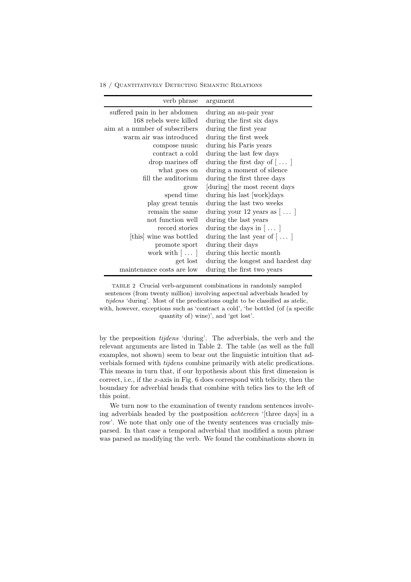| verb phrase                     | argument                              |
|---------------------------------|---------------------------------------|
| suffered pain in her abdomen    | during an au-pair year                |
| 168 rebels were killed          | during the first six days             |
| aim at a number of subscribers  | during the first year                 |
| warm air was introduced         | during the first week                 |
| compose music                   | during his Paris years                |
| contract a cold                 | during the last few days              |
| drop marines off                | during the first day of $[\,\dots\,]$ |
| what goes on                    | during a moment of silence            |
| fill the auditorium             | during the first three days           |
| grow                            | during the most recent days           |
| spend time                      | during his last [work]days            |
| play great tennis               | during the last two weeks             |
| remain the same                 | during your 12 years as $[\ldots]$    |
| not function well               | during the last years                 |
| record stories                  | during the days in $[\ldots]$         |
| [this] wine was bottled         | during the last year of $[\,\dots\,]$ |
| promote sport                   | during their days                     |
| work with $\left[\ldots\right]$ | during this hectic month              |
| get lost                        | during the longest and hardest day    |
| maintenance costs are low       | during the first two years            |

TABLE 2 Crucial verb-argument combinations in randomly sampled sentences (from twenty million) involving aspectual adverbials headed by tijdens 'during'. Most of the predications ought to be classified as atelic, with, however, exceptions such as 'contract a cold', 'be bottled (of (a specific quantity of) wine)', and 'get lost'.

by the preposition tijdens 'during'. The adverbials, the verb and the relevant arguments are listed in Table 2. The table (as well as the full examples, not shown) seem to bear out the linguistic intuition that adverbials formed with tijdens combine primarily with atelic predications. This means in turn that, if our hypothesis about this first dimension is correct, i.e., if the x-axis in Fig. 6 does correspond with telicity, then the boundary for adverbial heads that combine with telics lies to the left of this point.

We turn now to the examination of twenty random sentences involving adverbials headed by the postposition achtereen '[three days] in a row'. We note that only one of the twenty sentences was crucially misparsed. In that case a temporal adverbial that modified a noun phrase was parsed as modifying the verb. We found the combinations shown in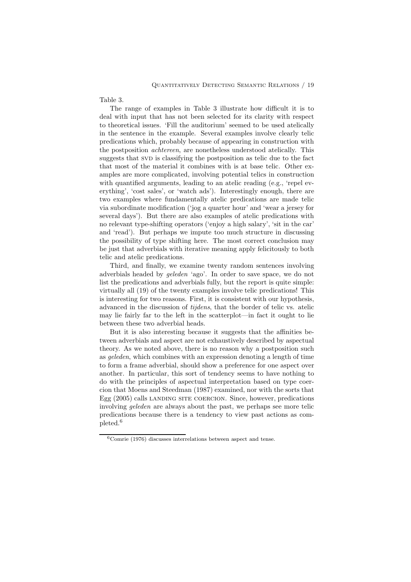Table 3.

The range of examples in Table 3 illustrate how difficult it is to deal with input that has not been selected for its clarity with respect to theoretical issues. 'Fill the auditorium' seemed to be used atelically in the sentence in the example. Several examples involve clearly telic predications which, probably because of appearing in construction with the postposition achtereen, are nonetheless understood atelically. This suggests that SVD is classifying the postposition as telic due to the fact that most of the material it combines with is at base telic. Other examples are more complicated, involving potential telics in construction with quantified arguments, leading to an atelic reading (e.g., 'repel everything', 'cost sales', or 'watch ads'). Interestingly enough, there are two examples where fundamentally atelic predications are made telic via subordinate modification ('jog a quarter hour' and 'wear a jersey for several days'). But there are also examples of atelic predications with no relevant type-shifting operators ('enjoy a high salary', 'sit in the car' and 'read'). But perhaps we impute too much structure in discussing the possibility of type shifting here. The most correct conclusion may be just that adverbials with iterative meaning apply felicitously to both telic and atelic predications.

Third, and finally, we examine twenty random sentences involving adverbials headed by geleden 'ago'. In order to save space, we do not list the predications and adverbials fully, but the report is quite simple: virtually all (19) of the twenty examples involve telic predications! This is interesting for two reasons. First, it is consistent with our hypothesis, advanced in the discussion of tijdens, that the border of telic vs. atelic may lie fairly far to the left in the scatterplot—in fact it ought to lie between these two adverbial heads.

But it is also interesting because it suggests that the affinities between adverbials and aspect are not exhaustively described by aspectual theory. As we noted above, there is no reason why a postposition such as geleden, which combines with an expression denoting a length of time to form a frame adverbial, should show a preference for one aspect over another. In particular, this sort of tendency seems to have nothing to do with the principles of aspectual interpretation based on type coercion that Moens and Steedman (1987) examined, nor with the sorts that Egg (2005) calls landing site coercion. Since, however, predications involving geleden are always about the past, we perhaps see more telic predications because there is a tendency to view past actions as completed.<sup>6</sup>

 $6$ Comrie (1976) discusses interrelations between aspect and tense.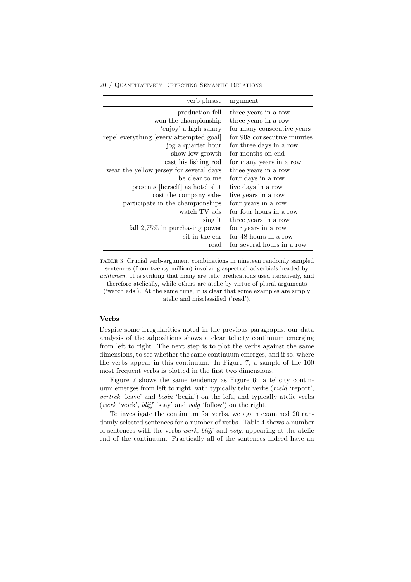| verb phrase                             | argument                    |
|-----------------------------------------|-----------------------------|
| production fell                         | three years in a row        |
| won the championship                    | three years in a row        |
| 'enjoy' a high salary                   | for many consecutive years  |
| repel everything [every attempted goal] | for 908 consecutive minutes |
| jog a quarter hour                      | for three days in a row     |
| show low growth                         | for months on end           |
| cast his fishing rod                    | for many years in a row     |
| wear the yellow jersey for several days | three years in a row        |
| be clear to me                          | four days in a row          |
| presents [herself] as hotel slut        | five days in a row          |
| cost the company sales                  | five years in a row         |
| participate in the championships        | four years in a row         |
| watch TV ads                            | for four hours in a row     |
| sing it                                 | three years in a row        |
| fall $2,75\%$ in purchasing power       | four years in a row         |
| sit in the car                          | for 48 hours in a row       |
| read                                    | for several hours in a row  |

TABLE 3 Crucial verb-argument combinations in nineteen randomly sampled sentences (from twenty million) involving aspectual adverbials headed by achtereen. It is striking that many are telic predications used iteratively, and therefore atelically, while others are atelic by virtue of plural arguments ('watch ads'). At the same time, it is clear that some examples are simply atelic and misclassified ('read').

## Verbs

Despite some irregularities noted in the previous paragraphs, our data analysis of the adpositions shows a clear telicity continuum emerging from left to right. The next step is to plot the verbs against the same dimensions, to see whether the same continuum emerges, and if so, where the verbs appear in this continuum. In Figure 7, a sample of the 100 most frequent verbs is plotted in the first two dimensions.

Figure 7 shows the same tendency as Figure 6: a telicity continuum emerges from left to right, with typically telic verbs (meld 'report', vertrek 'leave' and begin 'begin') on the left, and typically atelic verbs (werk 'work', blijf 'stay' and volg 'follow') on the right.

To investigate the continuum for verbs, we again examined 20 randomly selected sentences for a number of verbs. Table 4 shows a number of sentences with the verbs werk, blijf and volg, appearing at the atelic end of the continuum. Practically all of the sentences indeed have an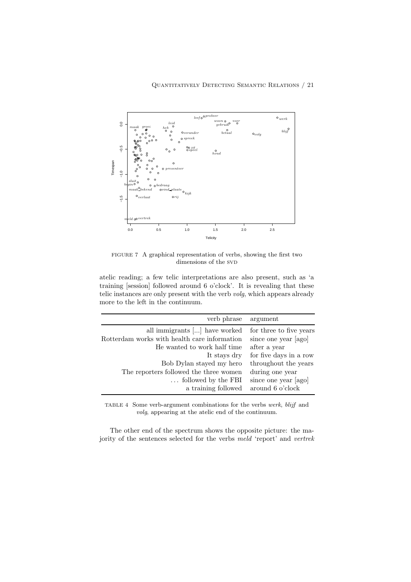

FIGURE 7 A graphical representation of verbs, showing the first two dimensions of the SVD

atelic reading; a few telic interpretations are also present, such as 'a training [session] followed around 6 o'clock'. It is revealing that these telic instances are only present with the verb volg, which appears already more to the left in the continuum.

| verb phrase                                                                          | argument                                                    |
|--------------------------------------------------------------------------------------|-------------------------------------------------------------|
| all immigrants [] have worked<br>Rotterdam works with health care information        | for three to five years<br>since one year [ago]             |
| He wanted to work half time                                                          | after a year<br>for five days in a row                      |
| It stays dry<br>Bob Dylan stayed my hero                                             | throughout the years                                        |
| The reporters followed the three women<br>followed by the FBI<br>a training followed | during one year<br>since one year [ago]<br>around 6 o'clock |

TABLE 4 Some verb-argument combinations for the verbs werk, blijf and volg, appearing at the atelic end of the continuum.

The other end of the spectrum shows the opposite picture: the majority of the sentences selected for the verbs meld 'report' and vertrek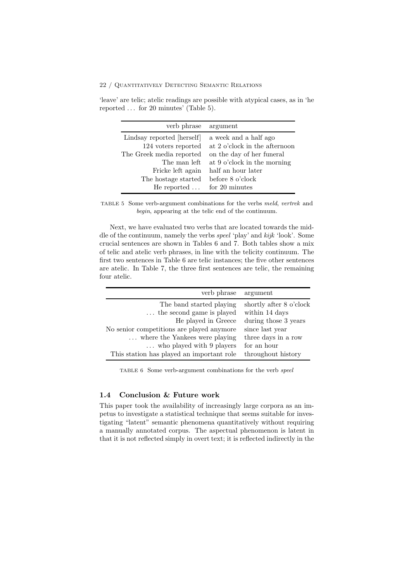'leave' are telic; atelic readings are possible with atypical cases, as in 'he reported . . . for 20 minutes' (Table 5).

| verb phrase                | argument                      |
|----------------------------|-------------------------------|
| Lindsay reported [herself] | a week and a half ago         |
| 124 voters reported        | at 2 o'clock in the afternoon |
| The Greek media reported   | on the day of her funeral     |
| The man left               | at 9 o'clock in the morning   |
| Fricke left again          | half an hour later            |
| The hostage started        | before 8 o'clock              |
| He reported $\dots$        | for 20 minutes                |

TABLE 5 Some verb-argument combinations for the verbs meld, vertrek and begin, appearing at the telic end of the continuum.

Next, we have evaluated two verbs that are located towards the middle of the continuum, namely the verbs speel 'play' and kijk 'look'. Some crucial sentences are shown in Tables 6 and 7. Both tables show a mix of telic and atelic verb phrases, in line with the telicity continuum. The first two sentences in Table 6 are telic instances; the five other sentences are atelic. In Table 7, the three first sentences are telic, the remaining four atelic.

| verb phrase                               | argument                |
|-------------------------------------------|-------------------------|
| The band started playing                  | shortly after 8 o'clock |
| $\dots$ the second game is played         | within 14 days          |
| He played in Greece                       | during those 3 years    |
| No senior competitions are played anymore | since last year         |
| where the Yankees were playing            | three days in a row     |
| $\ldots$ who played with 9 players        | for an hour             |
| This station has played an important role | throughout history      |

TABLE 6 Some verb-argument combinations for the verb speel

## 1.4 Conclusion & Future work

This paper took the availability of increasingly large corpora as an impetus to investigate a statistical technique that seems suitable for investigating "latent" semantic phenomena quantitatively without requiring a manually annotated corpus. The aspectual phenomenon is latent in that it is not reflected simply in overt text; it is reflected indirectly in the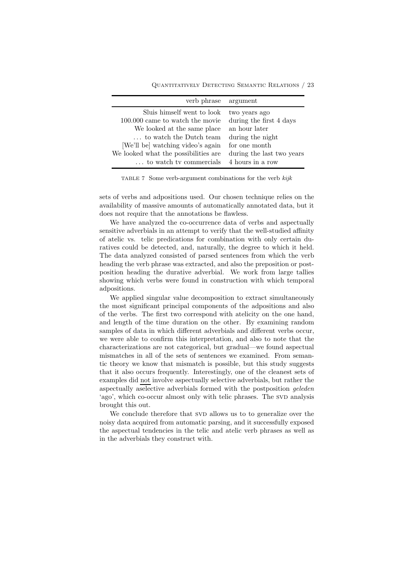Quantitatively Detecting Semantic Relations / 23

| verb phrase argument                 |                           |
|--------------------------------------|---------------------------|
| Sluis himself went to look           | two years ago             |
| 100,000 came to watch the movie      | during the first 4 days   |
| We looked at the same place          | an hour later             |
| to watch the Dutch team              | during the night          |
| [We'll be] watching video's again    | for one month             |
| We looked what the possibilities are | during the last two years |
| to watch tv commercials              | 4 hours in a row          |

TABLE 7 Some verb-argument combinations for the verb kijk

sets of verbs and adpositions used. Our chosen technique relies on the availability of massive amounts of automatically annotated data, but it does not require that the annotations be flawless.

We have analyzed the co-occurrence data of verbs and aspectually sensitive adverbials in an attempt to verify that the well-studied affinity of atelic vs. telic predications for combination with only certain duratives could be detected, and, naturally, the degree to which it held. The data analyzed consisted of parsed sentences from which the verb heading the verb phrase was extracted, and also the preposition or postposition heading the durative adverbial. We work from large tallies showing which verbs were found in construction with which temporal adpositions.

We applied singular value decomposition to extract simultaneously the most significant principal components of the adpositions and also of the verbs. The first two correspond with atelicity on the one hand, and length of the time duration on the other. By examining random samples of data in which different adverbials and different verbs occur, we were able to confirm this interpretation, and also to note that the characterizations are not categorical, but gradual—we found aspectual mismatches in all of the sets of sentences we examined. From semantic theory we know that mismatch is possible, but this study suggests that it also occurs frequently. Interestingly, one of the cleanest sets of examples did not involve aspectually selective adverbials, but rather the aspectually aselective adverbials formed with the postposition geleden 'ago', which co-occur almost only with telic phrases. The SVD analysis brought this out.

We conclude therefore that SVD allows us to to generalize over the noisy data acquired from automatic parsing, and it successfully exposed the aspectual tendencies in the telic and atelic verb phrases as well as in the adverbials they construct with.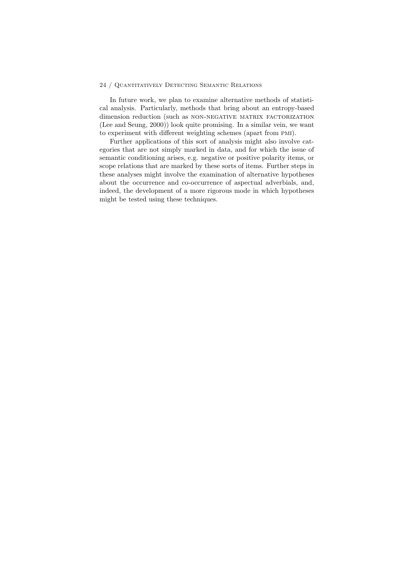In future work, we plan to examine alternative methods of statistical analysis. Particularly, methods that bring about an entropy-based dimension reduction (such as NON-NEGATIVE MATRIX FACTORIZATION (Lee and Seung, 2000)) look quite promising. In a similar vein, we want to experiment with different weighting schemes (apart from pmi).

Further applications of this sort of analysis might also involve categories that are not simply marked in data, and for which the issue of semantic conditioning arises, e.g. negative or positive polarity items, or scope relations that are marked by these sorts of items. Further steps in these analyses might involve the examination of alternative hypotheses about the occurrence and co-occurrence of aspectual adverbials, and, indeed, the development of a more rigorous mode in which hypotheses might be tested using these techniques.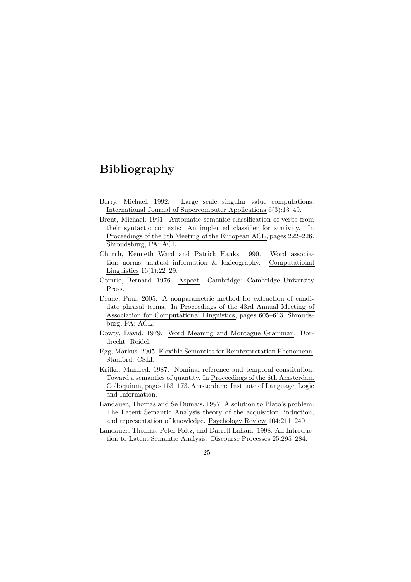## Bibliography

- Berry, Michael. 1992. Large scale singular value computations. International Journal of Supercomputer Applications 6(3):13–49.
- Brent, Michael. 1991. Automatic semantic classification of verbs from their syntactic contexts: An implented classifier for stativity. In Proceedings of the 5th Meeting of the European ACL, pages 222–226. Shroudsburg, PA: ACL.
- Church, Kenneth Ward and Patrick Hanks. 1990. Word association norms, mutual information & lexicography. Computational Linguistics  $16(1):22-29$ .
- Comrie, Bernard. 1976. Aspect. Cambridge: Cambridge University Press.
- Deane, Paul. 2005. A nonparametric method for extraction of candidate phrasal terms. In Proceedings of the 43rd Annual Meeting of Association for Computational Linguistics, pages 605–613. Shroudsburg, PA: ACL.
- Dowty, David. 1979. Word Meaning and Montague Grammar. Dordrecht: Reidel.
- Egg, Markus. 2005. Flexible Semantics for Reinterpretation Phenomena. Stanford: CSLI.
- Krifka, Manfred. 1987. Nominal reference and temporal constitution: Toward a semantics of quantity. In Proceedings of the 6th Amsterdam Colloquium, pages 153–173. Amsterdam: Institute of Language, Logic and Information.
- Landauer, Thomas and Se Dumais. 1997. A solution to Plato's problem: The Latent Semantic Analysis theory of the acquisition, induction, and representation of knowledge. Psychology Review 104:211–240.
- Landauer, Thomas, Peter Foltz, and Darrell Laham. 1998. An Introduction to Latent Semantic Analysis. Discourse Processes 25:295–284.